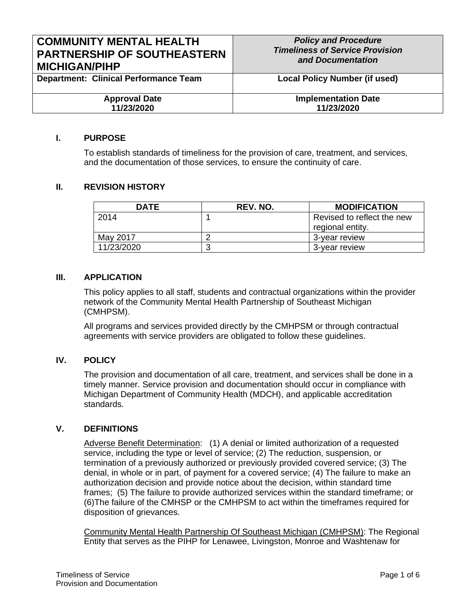| <b>COMMUNITY MENTAL HEALTH</b>               | <b>Policy and Procedure</b>            |
|----------------------------------------------|----------------------------------------|
| <b>PARTNERSHIP OF SOUTHEASTERN</b>           | <b>Timeliness of Service Provision</b> |
| <b>MICHIGAN/PIHP</b>                         | and Documentation                      |
| <b>Department: Clinical Performance Team</b> | <b>Local Policy Number (if used)</b>   |
| <b>Approval Date</b>                         | <b>Implementation Date</b>             |
| 11/23/2020                                   | 11/23/2020                             |

#### **I. PURPOSE**

To establish standards of timeliness for the provision of care, treatment, and services, and the documentation of those services, to ensure the continuity of care.

#### **II. REVISION HISTORY**

| <b>DATE</b> | REV. NO. | <b>MODIFICATION</b>                            |
|-------------|----------|------------------------------------------------|
| 2014        |          | Revised to reflect the new<br>regional entity. |
| May 2017    |          | 3-vear review                                  |
| 11/23/2020  | J        | 3-year review                                  |

### **III. APPLICATION**

This policy applies to all staff, students and contractual organizations within the provider network of the Community Mental Health Partnership of Southeast Michigan (CMHPSM).

All programs and services provided directly by the CMHPSM or through contractual agreements with service providers are obligated to follow these guidelines.

### **IV. POLICY**

The provision and documentation of all care, treatment, and services shall be done in a timely manner. Service provision and documentation should occur in compliance with Michigan Department of Community Health (MDCH), and applicable accreditation standards.

#### **V. DEFINITIONS**

Adverse Benefit Determination: (1) A denial or limited authorization of a requested service, including the type or level of service; (2) The reduction, suspension, or termination of a previously authorized or previously provided covered service; (3) The denial, in whole or in part, of payment for a covered service; (4) The failure to make an authorization decision and provide notice about the decision, within standard time frames; (5) The failure to provide authorized services within the standard timeframe; or (6)The failure of the CMHSP or the CMHPSM to act within the timeframes required for disposition of grievances.

Community Mental Health Partnership Of Southeast Michigan (CMHPSM): The Regional Entity that serves as the PIHP for Lenawee, Livingston, Monroe and Washtenaw for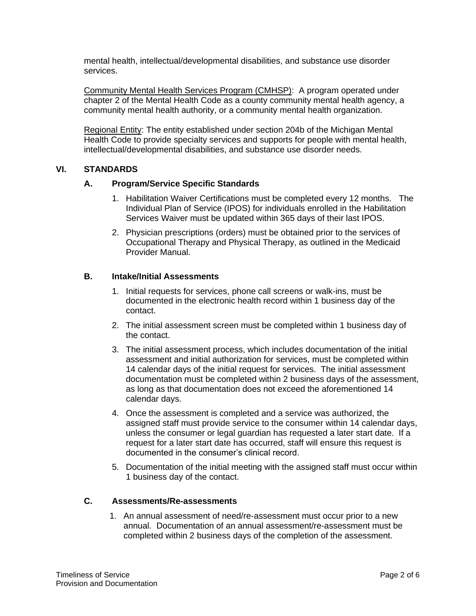mental health, intellectual/developmental disabilities, and substance use disorder services.

Community Mental Health Services Program (CMHSP): A program operated under chapter 2 of the Mental Health Code as a county community mental health agency, a community mental health authority, or a community mental health organization.

Regional Entity: The entity established under section 204b of the Michigan Mental Health Code to provide specialty services and supports for people with mental health, intellectual/developmental disabilities, and substance use disorder needs.

### **VI. STANDARDS**

### **A. Program/Service Specific Standards**

- 1. Habilitation Waiver Certifications must be completed every 12 months. The Individual Plan of Service (IPOS) for individuals enrolled in the Habilitation Services Waiver must be updated within 365 days of their last IPOS.
- 2. Physician prescriptions (orders) must be obtained prior to the services of Occupational Therapy and Physical Therapy, as outlined in the Medicaid Provider Manual.

### **B. Intake/Initial Assessments**

- 1. Initial requests for services, phone call screens or walk-ins, must be documented in the electronic health record within 1 business day of the contact.
- 2. The initial assessment screen must be completed within 1 business day of the contact.
- 3. The initial assessment process, which includes documentation of the initial assessment and initial authorization for services, must be completed within 14 calendar days of the initial request for services. The initial assessment documentation must be completed within 2 business days of the assessment, as long as that documentation does not exceed the aforementioned 14 calendar days.
- 4. Once the assessment is completed and a service was authorized, the assigned staff must provide service to the consumer within 14 calendar days, unless the consumer or legal guardian has requested a later start date. If a request for a later start date has occurred, staff will ensure this request is documented in the consumer's clinical record.
- 5. Documentation of the initial meeting with the assigned staff must occur within 1 business day of the contact.

## **C. Assessments/Re-assessments**

1. An annual assessment of need/re-assessment must occur prior to a new annual. Documentation of an annual assessment/re-assessment must be completed within 2 business days of the completion of the assessment.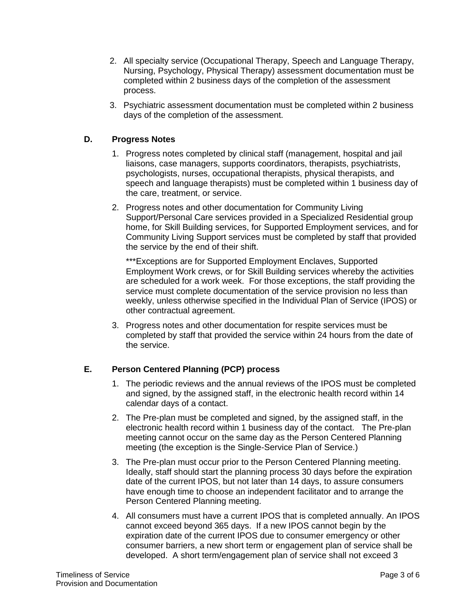- 2. All specialty service (Occupational Therapy, Speech and Language Therapy, Nursing, Psychology, Physical Therapy) assessment documentation must be completed within 2 business days of the completion of the assessment process.
- 3. Psychiatric assessment documentation must be completed within 2 business days of the completion of the assessment.

## **D. Progress Notes**

- 1. Progress notes completed by clinical staff (management, hospital and jail liaisons, case managers, supports coordinators, therapists, psychiatrists, psychologists, nurses, occupational therapists, physical therapists, and speech and language therapists) must be completed within 1 business day of the care, treatment, or service.
- 2. Progress notes and other documentation for Community Living Support/Personal Care services provided in a Specialized Residential group home, for Skill Building services, for Supported Employment services, and for Community Living Support services must be completed by staff that provided the service by the end of their shift.

\*\*\*Exceptions are for Supported Employment Enclaves, Supported Employment Work crews, or for Skill Building services whereby the activities are scheduled for a work week. For those exceptions, the staff providing the service must complete documentation of the service provision no less than weekly, unless otherwise specified in the Individual Plan of Service (IPOS) or other contractual agreement.

3. Progress notes and other documentation for respite services must be completed by staff that provided the service within 24 hours from the date of the service.

# **E. Person Centered Planning (PCP) process**

- 1. The periodic reviews and the annual reviews of the IPOS must be completed and signed, by the assigned staff, in the electronic health record within 14 calendar days of a contact.
- 2. The Pre-plan must be completed and signed, by the assigned staff, in the electronic health record within 1 business day of the contact. The Pre-plan meeting cannot occur on the same day as the Person Centered Planning meeting (the exception is the Single-Service Plan of Service.)
- 3. The Pre-plan must occur prior to the Person Centered Planning meeting. Ideally, staff should start the planning process 30 days before the expiration date of the current IPOS, but not later than 14 days, to assure consumers have enough time to choose an independent facilitator and to arrange the Person Centered Planning meeting.
- 4. All consumers must have a current IPOS that is completed annually. An IPOS cannot exceed beyond 365 days. If a new IPOS cannot begin by the expiration date of the current IPOS due to consumer emergency or other consumer barriers, a new short term or engagement plan of service shall be developed. A short term/engagement plan of service shall not exceed 3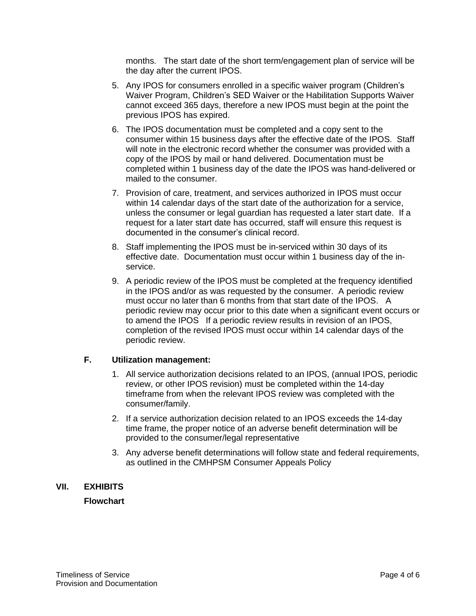months. The start date of the short term/engagement plan of service will be the day after the current IPOS.

- 5. Any IPOS for consumers enrolled in a specific waiver program (Children's Waiver Program, Children's SED Waiver or the Habilitation Supports Waiver cannot exceed 365 days, therefore a new IPOS must begin at the point the previous IPOS has expired.
- 6. The IPOS documentation must be completed and a copy sent to the consumer within 15 business days after the effective date of the IPOS. Staff will note in the electronic record whether the consumer was provided with a copy of the IPOS by mail or hand delivered. Documentation must be completed within 1 business day of the date the IPOS was hand-delivered or mailed to the consumer.
- 7. Provision of care, treatment, and services authorized in IPOS must occur within 14 calendar days of the start date of the authorization for a service, unless the consumer or legal guardian has requested a later start date. If a request for a later start date has occurred, staff will ensure this request is documented in the consumer's clinical record.
- 8. Staff implementing the IPOS must be in-serviced within 30 days of its effective date. Documentation must occur within 1 business day of the inservice.
- 9. A periodic review of the IPOS must be completed at the frequency identified in the IPOS and/or as was requested by the consumer. A periodic review must occur no later than 6 months from that start date of the IPOS. A periodic review may occur prior to this date when a significant event occurs or to amend the IPOS If a periodic review results in revision of an IPOS, completion of the revised IPOS must occur within 14 calendar days of the periodic review.

### **F. Utilization management:**

- 1. All service authorization decisions related to an IPOS, (annual IPOS, periodic review, or other IPOS revision) must be completed within the 14-day timeframe from when the relevant IPOS review was completed with the consumer/family.
- 2. If a service authorization decision related to an IPOS exceeds the 14-day time frame, the proper notice of an adverse benefit determination will be provided to the consumer/legal representative
- 3. Any adverse benefit determinations will follow state and federal requirements, as outlined in the CMHPSM Consumer Appeals Policy

### **VII. EXHIBITS**

## **Flowchart**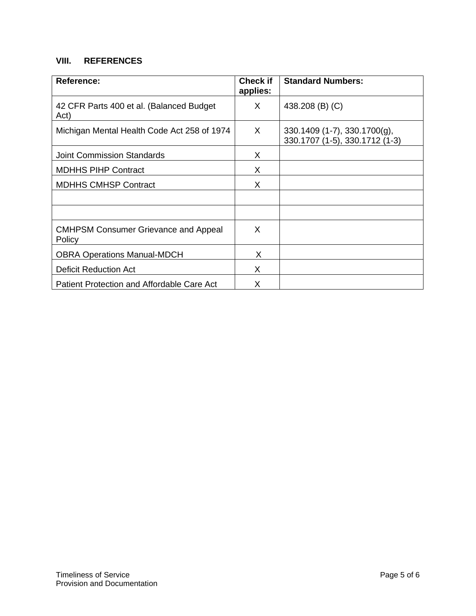# **VIII. REFERENCES**

| <b>Reference:</b>                                     | <b>Check if</b><br>applies: | <b>Standard Numbers:</b>                                            |
|-------------------------------------------------------|-----------------------------|---------------------------------------------------------------------|
| 42 CFR Parts 400 et al. (Balanced Budget)<br>Act)     | X                           | 438.208 (B) (C)                                                     |
| Michigan Mental Health Code Act 258 of 1974           | X.                          | $330.1409$ (1-7), $330.1700(g)$ ,<br>330.1707 (1-5), 330.1712 (1-3) |
| <b>Joint Commission Standards</b>                     | X.                          |                                                                     |
| <b>MDHHS PIHP Contract</b>                            | X                           |                                                                     |
| <b>MDHHS CMHSP Contract</b>                           | X                           |                                                                     |
|                                                       |                             |                                                                     |
|                                                       |                             |                                                                     |
| <b>CMHPSM Consumer Grievance and Appeal</b><br>Policy | X                           |                                                                     |
| <b>OBRA Operations Manual-MDCH</b>                    | X                           |                                                                     |
| <b>Deficit Reduction Act</b>                          | X                           |                                                                     |
| Patient Protection and Affordable Care Act            | X                           |                                                                     |